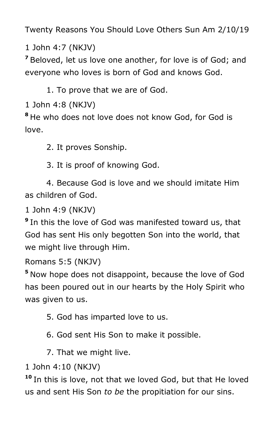Twenty Reasons You Should Love Others Sun Am 2/10/19

1 John 4:7 (NKJV)

**<sup>7</sup>** Beloved, let us love one another, for love is of God; and everyone who loves is born of God and knows God.

1. To prove that we are of God.

1 John 4:8 (NKJV)

**<sup>8</sup>** He who does not love does not know God, for God is love.

2. It proves Sonship.

3. It is proof of knowing God.

 4. Because God is love and we should imitate Him as children of God.

1 John 4:9 (NKJV)

**9** In this the love of God was manifested toward us, that God has sent His only begotten Son into the world, that we might live through Him.

Romans 5:5 (NKJV)

**<sup>5</sup>** Now hope does not disappoint, because the love of God has been poured out in our hearts by the Holy Spirit who was given to us.

5. God has imparted love to us.

6. God sent His Son to make it possible.

7. That we might live.

1 John 4:10 (NKJV)

**<sup>10</sup>** In this is love, not that we loved God, but that He loved us and sent His Son *to be* the propitiation for our sins.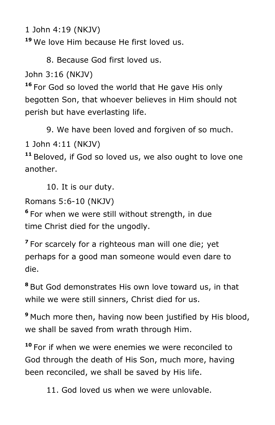1 John 4:19 (NKJV)

**<sup>19</sup>** We love Him because He first loved us.

8. Because God first loved us.

John 3:16 (NKJV)

**<sup>16</sup>** For God so loved the world that He gave His only begotten Son, that whoever believes in Him should not perish but have everlasting life.

9. We have been loved and forgiven of so much.

1 John 4:11 (NKJV)

**<sup>11</sup>** Beloved, if God so loved us, we also ought to love one another.

10. It is our duty.

Romans 5:6-10 (NKJV)

**6** For when we were still without strength, in due time Christ died for the ungodly.

**7** For scarcely for a righteous man will one die; yet perhaps for a good man someone would even dare to die.

**<sup>8</sup>** But God demonstrates His own love toward us, in that while we were still sinners, Christ died for us.

**<sup>9</sup>** Much more then, having now been justified by His blood, we shall be saved from wrath through Him.

**<sup>10</sup>** For if when we were enemies we were reconciled to God through the death of His Son, much more, having been reconciled, we shall be saved by His life.

11. God loved us when we were unlovable.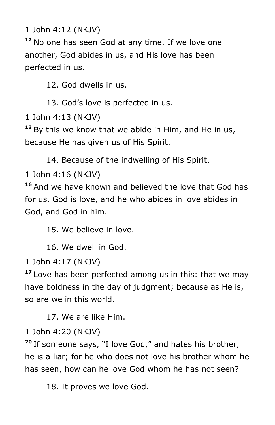1 John 4:12 (NKJV)

**<sup>12</sup>** No one has seen God at any time. If we love one another, God abides in us, and His love has been perfected in us.

12. God dwells in us.

13. God's love is perfected in us.

1 John 4:13 (NKJV)

**<sup>13</sup>** By this we know that we abide in Him, and He in us, because He has given us of His Spirit.

14. Because of the indwelling of His Spirit.

1 John 4:16 (NKJV)

**<sup>16</sup>** And we have known and believed the love that God has for us. God is love, and he who abides in love abides in God, and God in him.

15. We believe in love.

16. We dwell in God.

1 John 4:17 (NKJV)

**<sup>17</sup>** Love has been perfected among us in this: that we may have boldness in the day of judgment; because as He is, so are we in this world.

17. We are like Him.

1 John 4:20 (NKJV)

**<sup>20</sup>** If someone says, "I love God," and hates his brother, he is a liar; for he who does not love his brother whom he has seen, how can he love God whom he has not seen?

18. It proves we love God.